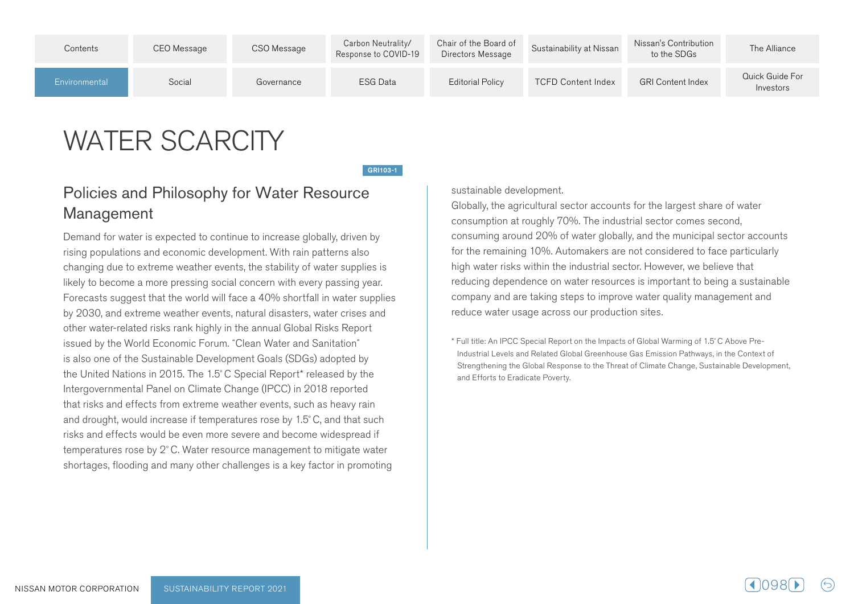| Contents      | CEO Message | CSO Message | Carbon Neutrality/<br>Response to COVID-19 | Chair of the Board of<br>Directors Message | Sustainability at Nissan  | Nissan's Contribution<br>to the SDGs | The Alliance                 |
|---------------|-------------|-------------|--------------------------------------------|--------------------------------------------|---------------------------|--------------------------------------|------------------------------|
| Environmental | Social      | Governance  | <b>ESG Data</b>                            | <b>Editorial Policy</b>                    | <b>TCFD Content Index</b> | <b>GRI Content Index</b>             | Quick Guide For<br>Investors |

# WATER SCARCITY

GRI103-1

## Policies and Philosophy for Water Resource Management

Demand for water is expected to continue to increase globally, driven by rising populations and economic development. With rain patterns also changing due to extreme weather events, the stability of water supplies is likely to become a more pressing social concern with every passing year. Forecasts suggest that the world will face a 40% shortfall in water supplies by 2030, and extreme weather events, natural disasters, water crises and other water-related risks rank highly in the annual Global Risks Report issued by the World Economic Forum. "Clean Water and Sanitation" is also one of the Sustainable Development Goals (SDGs) adopted by the United Nations in 2015. The 1.5° C Special Report\* released by the Intergovernmental Panel on Climate Change (IPCC) in 2018 reported that risks and effects from extreme weather events, such as heavy rain and drought, would increase if temperatures rose by 1.5° C, and that such risks and effects would be even more severe and become widespread if temperatures rose by 2°C. Water resource management to mitigate water shortages, flooding and many other challenges is a key factor in promoting

sustainable development.

Globally, the agricultural sector accounts for the largest share of water consumption at roughly 70%. The industrial sector comes second, consuming around 20% of water globally, and the municipal sector accounts for the remaining 10%. Automakers are not considered to face particularly high water risks within the industrial sector. However, we believe that reducing dependence on water resources is important to being a sustainable company and are taking steps to improve water quality management and reduce water usage across our production sites.

Industrial Levels and Related Global Greenhouse Gas Emission Pathways, in the Context of \* Full title: An IPCC Special Report on the Impacts of Global Warming of 1.5° C Above Pre-Strengthening the Global Response to the Threat of Climate Change, Sustainable Development, and Efforts to Eradicate Poverty.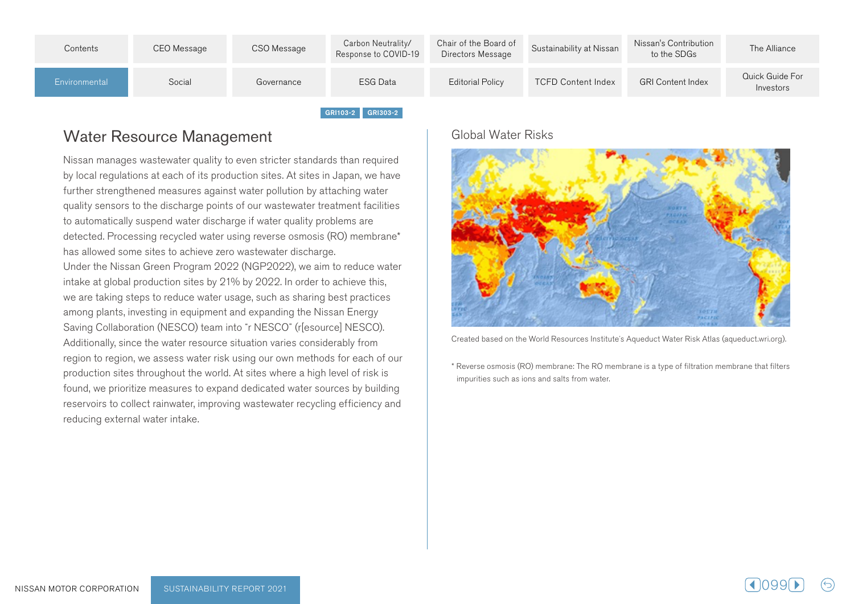| Contents          | CEO Message | CSO Message | Carbon Neutrality/<br>Response to COVID-19 | Chair of the Board of<br>Directors Message | Sustainability at Nissan  | Nissan's Contribution<br>to the SDGs | The Alliance                 |  |
|-------------------|-------------|-------------|--------------------------------------------|--------------------------------------------|---------------------------|--------------------------------------|------------------------------|--|
| Environmental     | Social      | Governance  | <b>ESG Data</b>                            | <b>Editorial Policy</b>                    | <b>TCFD Content Index</b> | <b>GRI Content Index</b>             | Quick Guide For<br>Investors |  |
| GRI103-2 GRI303-2 |             |             |                                            |                                            |                           |                                      |                              |  |

# Water Resource Management

Nissan manages wastewater quality to even stricter standards than required by local regulations at each of its production sites. At sites in Japan, we have further strengthened measures against water pollution by attaching water quality sensors to the discharge points of our wastewater treatment facilities to automatically suspend water discharge if water quality problems are detected. Processing recycled water using reverse osmosis (RO) membrane<sup>\*</sup> has allowed some sites to achieve zero wastewater discharge. Under the Nissan Green Program 2022 (NGP 2022), we aim to reduce water intake at global production sites by 21% by 2022. In order to achieve this, we are taking steps to reduce water usage, such as sharing best practices among plants, investing in equipment and expanding the Nissan Energy Saving Collaboration (NESCO) team into "r NESCO" (r[esource] NESCO). Additionally, since the water resource situation varies considerably from region to region, we assess water risk using our own methods for each of our production sites throughout the world. At sites where a high level of risk is found, we prioritize measures to expand dedicated water sources by building reservoirs to collect rainwater, improving wastewater recycling efficiency and reducing external water intake.

#### **Global Water Risks**



Created based on the World Resources Institute's Aqueduct Water Risk Atlas (aqueduct.wri.org).

\* Reverse osmosis (RO) membrane: The RO membrane is a type of filtration membrane that filters impurities such as ions and salts from water.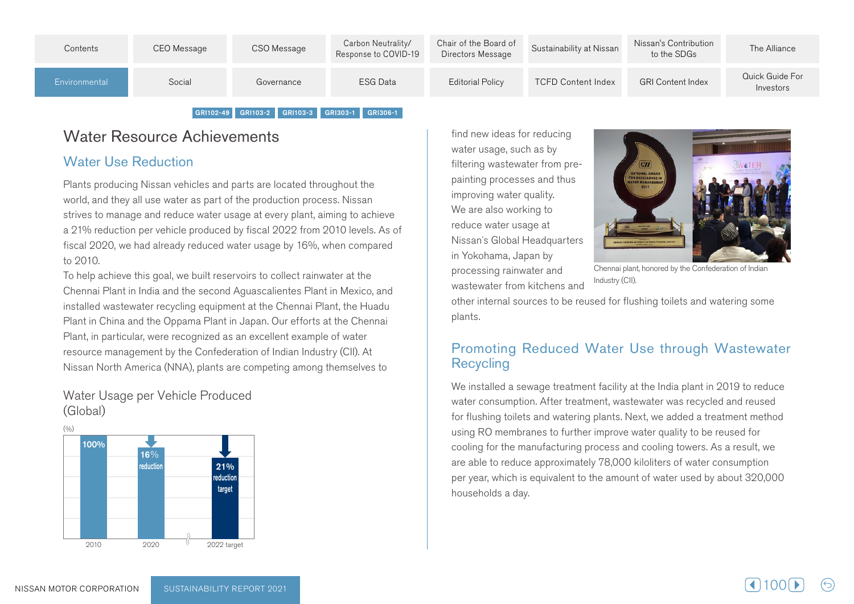

# **Water Resource Achievements**

## **Water Use Reduction**

Plants producing Nissan vehicles and parts are located throughout the world, and they all use water as part of the production process. Nissan strives to manage and reduce water usage at every plant, aiming to achieve a 21% reduction per vehicle produced by fiscal 2022 from 2010 levels. As of fiscal 2020, we had already reduced water usage by 16%, when compared to 2010.

To help achieve this goal, we built reservoirs to collect rainwater at the Chennai Plant in India and the second Aguascalientes Plant in Mexico, and installed wastewater recycling equipment at the Chennai Plant, the Huadu Plant in China and the Oppama Plant in Japan. Our efforts at the Chennai Plant, in particular, were recognized as an excellent example of water resource management by the Confederation of Indian Industry (CII), At Nissan North America (NNA), plants are competing among themselves to





find new ideas for reducing water usage, such as by painting processes and thus filtering wastewater from preimproving water quality. We are also working to reduce water usage at Nissan's Global Headquarters in Yokohama, Japan by processing rainwater and wastewater from kitchens and



Chennai plant, honored by the Confederation of Indian Industry (CII).

other internal sources to be reused for flushing toilets and watering some .plants

### Promoting Reduced Water Use through Wastewater **Recycling**

We installed a sewage treatment facility at the India plant in 2019 to reduce water consumption. After treatment, was tewater was recycled and reused for flushing toilets and watering plants. Next, we added a treatment method using RO membranes to further improve water quality to be reused for cooling for the manufacturing process and cooling towers. As a result, we are able to reduce approximately 78,000 kiloliters of water consumption per year, which is equivalent to the amount of water used by about 320,000 households a day.